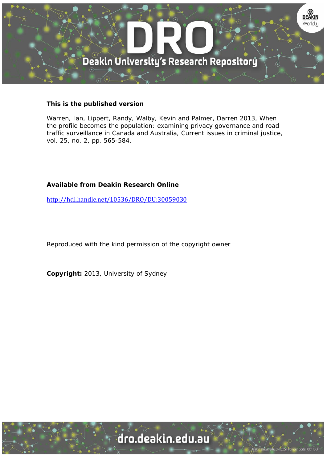

## **This is the published version**

Warren, Ian, Lippert, Randy, Walby, Kevin and Palmer, Darren 2013, When the profile becomes the population: examining privacy governance and road traffic surveillance in Canada and Australia, Current issues in criminal justice, vol. 25, no. 2, pp. 565-584.

## **Available from Deakin Research Online**

http://hdl.handle.net/10536/DRO/DU:30059030

Reproduced with the kind permission of the copyright owner

**Copyright:** 2013, University of Sydney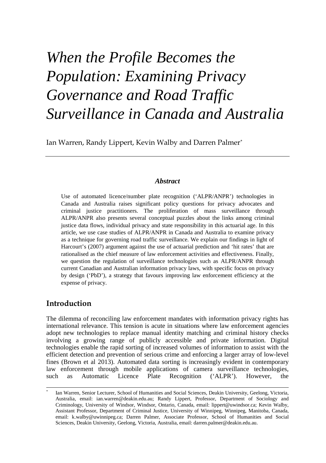# *When the Profile Becomes the Population: Examining Privacy Governance and Road Traffic Surveillance in Canada and Australia*

Ian Warren, Randy Lippert, Kevin Walby and Darren Palmer[\\*](#page-1-0)

#### *Abstract*

Use of automated licence/number plate recognition ('ALPR/ANPR') technologies in Canada and Australia raises significant policy questions for privacy advocates and criminal justice practitioners. The proliferation of mass surveillance through ALPR/ANPR also presents several conceptual puzzles about the links among criminal justice data flows, individual privacy and state responsibility in this actuarial age. In this article, we use case studies of ALPR/ANPR in Canada and Australia to examine privacy as a technique for governing road traffic surveillance. We explain our findings in light of Harcourt's (2007) argument against the use of actuarial prediction and 'hit rates' that are rationalised as the chief measure of law enforcement activities and effectiveness. Finally, we question the regulation of surveillance technologies such as ALPR/ANPR through current Canadian and Australian information privacy laws, with specific focus on privacy by design ('PbD'), a strategy that favours improving law enforcement efficiency at the expense of privacy.

### **Introduction**

The dilemma of reconciling law enforcement mandates with information privacy rights has international relevance. This tension is acute in situations where law enforcement agencies adopt new technologies to replace manual identity matching and criminal history checks involving a growing range of publicly accessible and private information. Digital technologies enable the rapid sorting of increased volumes of information to assist with the efficient detection and prevention of serious crime and enforcing a larger array of low-level fines (Brown et al 2013). Automated data sorting is increasingly evident in contemporary law enforcement through mobile applications of camera surveillance technologies, such as Automatic Licence Plate Recognition ('ALPR'). However, the

<span id="page-1-0"></span> <sup>\*</sup> Ian Warren, Senior Lecturer, School of Humanities and Social Sciences, Deakin University, Geelong, Victoria, Australia, email: ian.warren@deakin.edu.au; Randy Lippert, Professor, Department of Sociology and Criminology, University of Windsor, Windsor, Ontario, Canada, email: lippert@uwindsor.ca; Kevin Walby, Assistant Professor, Department of Criminal Justice, University of Winnipeg, Winnipeg, Manitoba, Canada, email: k.walby@uwinnipeg.ca; Darren Palmer, Associate Professor, School of Humanities and Social Sciences, Deakin University, Geelong, Victoria, Australia, email: darren.palmer@deakin.edu.au.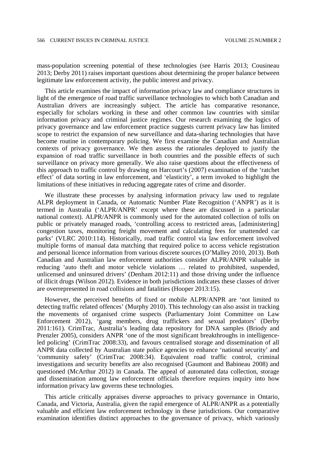mass-population screening potential of these technologies (see Harris 2013; Cousineau 2013; Derby 2011) raises important questions about determining the proper balance between legitimate law enforcement activity, the public interest and privacy.

This article examines the impact of information privacy law and compliance structures in light of the emergence of road traffic surveillance technologies to which both Canadian and Australian drivers are increasingly subject. The article has comparative resonance, especially for scholars working in these and other common law countries with similar information privacy and criminal justice regimes. Our research examining the logics of privacy governance and law enforcement practice suggests current privacy law has limited scope to restrict the expansion of new surveillance and data-sharing technologies that have become routine in contemporary policing. We first examine the Canadian and Australian contexts of privacy governance. We then assess the rationales deployed to justify the expansion of road traffic surveillance in both countries and the possible effects of such surveillance on privacy more generally. We also raise questions about the effectiveness of this approach to traffic control by drawing on Harcourt's (2007) examination of the 'ratchet effect' of data sorting in law enforcement, and 'elasticity', a term invoked to highlight the limitations of these initiatives in reducing aggregate rates of crime and disorder.

We illustrate these processes by analysing information privacy law used to regulate ALPR deployment in Canada, or Automatic Number Plate Recognition ('ANPR') as it is termed in Australia ('ALPR/ANPR' except where these are discussed in a particular national context). ALPR/ANPR is commonly used for the automated collection of tolls on public or privately managed roads, 'controlling access to restricted areas, [administering] congestion taxes, monitoring freight movement and calculating fees for unattended car parks' (VLRC 2010:114). Historically, road traffic control via law enforcement involved multiple forms of manual data matching that required police to access vehicle registration and personal licence information from various discrete sources (O'Malley 2010, 2013). Both Canadian and Australian law enforcement authorities consider ALPR/ANPR valuable in reducing 'auto theft and motor vehicle violations … related to prohibited, suspended, unlicensed and uninsured drivers' (Denham 2012:11) and those driving under the influence of illicit drugs (Wilson 2012). Evidence in both jurisdictions indicates these classes of driver are overrepresented in road collisions and fatalities (Hooper 2013:15).

However, the perceived benefits of fixed or mobile ALPR/ANPR are 'not limited to detecting traffic related offences' (Murphy 2010). This technology can also assist in tracking the movements of organised crime suspects (Parliamentary Joint Committee on Law Enforcement 2012), 'gang members, drug traffickers and sexual predators' (Derby 2011:161). CrimTrac, Australia's leading data repository for DNA samples (Briody and Prenzler 2005), considers ANPR 'one of the most significant breakthroughs in intelligenceled policing' (CrimTrac 2008:33), and favours centralised storage and dissemination of all ANPR data collected by Australian state police agencies to enhance 'national security' and 'community safety' (CrimTrac 2008:34). Equivalent road traffic control, criminal investigations and security benefits are also recognised (Gaumont and Babineau 2008) and questioned (McArthur 2012) in Canada. The appeal of automated data collection, storage and dissemination among law enforcement officials therefore requires inquiry into how information privacy law governs these technologies.

This article critically appraises diverse approaches to privacy governance in Ontario, Canada, and Victoria, Australia, given the rapid emergence of ALPR/ANPR as a potentially valuable and efficient law enforcement technology in these jurisdictions. Our comparative examination identifies distinct approaches to the governance of privacy, which variously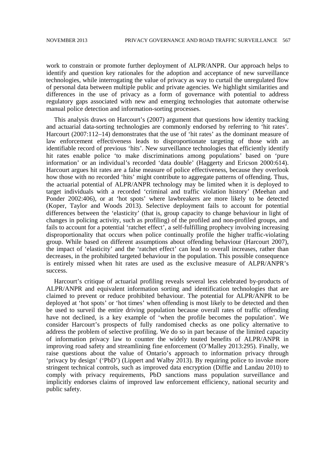work to constrain or promote further deployment of ALPR/ANPR. Our approach helps to identify and question key rationales for the adoption and acceptance of new surveillance technologies, while interrogating the value of privacy as way to curtail the unregulated flow of personal data between multiple public and private agencies. We highlight similarities and differences in the use of privacy as a form of governance with potential to address regulatory gaps associated with new and emerging technologies that automate otherwise manual police detection and information-sorting processes.

This analysis draws on Harcourt's (2007) argument that questions how identity tracking and actuarial data-sorting technologies are commonly endorsed by referring to 'hit rates'. Harcourt (2007:112–14) demonstrates that the use of 'hit rates' as the dominant measure of law enforcement effectiveness leads to disproportionate targeting of those with an identifiable record of previous 'hits'. New surveillance technologies that efficiently identify hit rates enable police 'to make discriminations among populations' based on 'pure information' or an individual's recorded 'data double' (Haggerty and Ericson 2000:614). Harcourt argues hit rates are a false measure of police effectiveness, because they overlook how those with no recorded 'hits' might contribute to aggregate patterns of offending. Thus, the actuarial potential of ALPR/ANPR technology may be limited when it is deployed to target individuals with a recorded 'criminal and traffic violation history' (Meehan and Ponder 2002:406), or at 'hot spots' where lawbreakers are more likely to be detected (Koper, Taylor and Woods 2013). Selective deployment fails to account for potential differences between the 'elasticity' (that is, group capacity to change behaviour in light of changes in policing activity, such as profiling) of the profiled and non-profiled groups, and fails to account for a potential 'ratchet effect', a self-fulfilling prophecy involving increasing disproportionality that occurs when police continually profile the higher traffic-violating group. While based on different assumptions about offending behaviour (Harcourt 2007), the impact of 'elasticity' and the 'ratchet effect' can lead to overall increases, rather than decreases, in the prohibited targeted behaviour in the population. This possible consequence is entirely missed when hit rates are used as the exclusive measure of ALPR/ANPR's success.

Harcourt's critique of actuarial profiling reveals several less celebrated by-products of ALPR/ANPR and equivalent information sorting and identification technologies that are claimed to prevent or reduce prohibited behaviour. The potential for ALPR/ANPR to be deployed at 'hot spots' or 'hot times' when offending is most likely to be detected and then be used to surveil the entire driving population because overall rates of traffic offending have not declined, is a key example of 'when the profile becomes the population'. We consider Harcourt's prospects of fully randomised checks as one policy alternative to address the problem of selective profiling. We do so in part because of the limited capacity of information privacy law to counter the widely touted benefits of ALPR/ANPR in improving road safety and streamlining fine enforcement (O'Malley 2013:295). Finally, we raise questions about the value of Ontario's approach to information privacy through 'privacy by design' ('PbD') (Lippert and Walby 2013). By requiring police to invoke more stringent technical controls, such as improved data encryption (Diffie and Landau 2010) to comply with privacy requirements, PbD sanctions mass population surveillance and implicitly endorses claims of improved law enforcement efficiency, national security and public safety.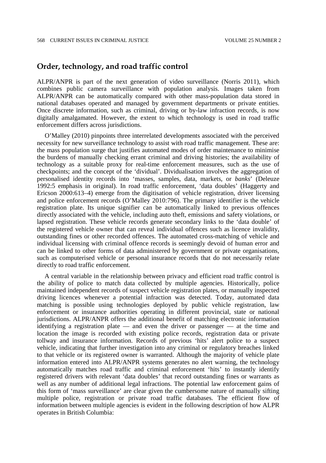#### **Order, technology, and road traffic control**

ALPR/ANPR is part of the next generation of video surveillance (Norris 2011), which combines public camera surveillance with population analysis. Images taken from ALPR/ANPR can be automatically compared with other mass-population data stored in national databases operated and managed by government departments or private entities. Once discrete information, such as criminal, driving or by-law infraction records, is now digitally amalgamated. However, the extent to which technology is used in road traffic enforcement differs across jurisdictions.

O'Malley (2010) pinpoints three interrelated developments associated with the perceived necessity for new surveillance technology to assist with road traffic management. These are: the mass population surge that justifies automated modes of order maintenance to minimise the burdens of manually checking errant criminal and driving histories; the availability of technology as a suitable proxy for real-time enforcement measures, such as the use of checkpoints; and the concept of the 'dividual'. Dividualisation involves the aggregation of personalised identity records into 'masses, samples, data, markets, or *banks*' (Deleuze 1992:5 emphasis in original). In road traffic enforcement, 'data doubles' (Haggerty and Ericson 2000:613–4) emerge from the digitisation of vehicle registration, driver licensing and police enforcement records (O'Malley 2010:796). The primary identifier is the vehicle registration plate. Its unique signifier can be automatically linked to previous offences directly associated with the vehicle, including auto theft, emissions and safety violations, or lapsed registration. These vehicle records generate secondary links to the 'data double' of the registered vehicle owner that can reveal individual offences such as licence invalidity, outstanding fines or other recorded offences. The automated cross-matching of vehicle and individual licensing with criminal offence records is seemingly devoid of human error and can be linked to other forms of data administered by government or private organisations, such as computerised vehicle or personal insurance records that do not necessarily relate directly to road traffic enforcement.

A central variable in the relationship between privacy and efficient road traffic control is the ability of police to match data collected by multiple agencies. Historically, police maintained independent records of suspect vehicle registration plates, or manually inspected driving licences whenever a potential infraction was detected. Today, automated data matching is possible using technologies deployed by public vehicle registration, law enforcement or insurance authorities operating in different provincial, state or national jurisdictions. ALPR/ANPR offers the additional benefit of matching electronic information identifying a registration plate — and even the driver or passenger — at the time and location the image is recorded with existing police records, registration data or private tollway and insurance information. Records of previous 'hits' alert police to a suspect vehicle, indicating that further investigation into any criminal or regulatory breaches linked to that vehicle or its registered owner is warranted. Although the majority of vehicle plate information entered into ALPR/ANPR systems generates no alert warning, the technology automatically matches road traffic and criminal enforcement 'hits' to instantly identify registered drivers with relevant 'data doubles' that record outstanding fines or warrants as well as any number of additional legal infractions. The potential law enforcement gains of this form of 'mass surveillance' are clear given the cumbersome nature of manually sifting multiple police, registration or private road traffic databases. The efficient flow of information between multiple agencies is evident in the following description of how ALPR operates in British Columbia: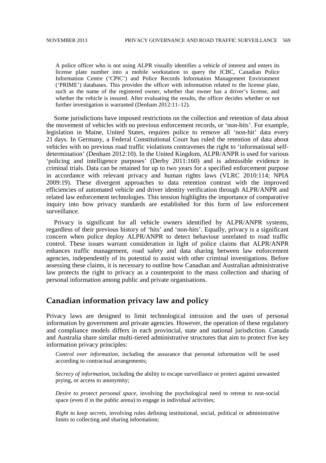A police officer who is not using ALPR visually identifies a vehicle of interest and enters its license plate number into a mobile workstation to query the ICBC, Canadian Police Information Centre ('CPIC') and Police Records Information Management Environment ('PRIME') databases. This provides the officer with information related to the license plate, such as the name of the registered owner, whether that owner has a driver's license, and whether the vehicle is insured. After evaluating the results, the officer decides whether or not further investigation is warranted (Denham 2012:11–12).

Some jurisdictions have imposed restrictions on the collection and retention of data about the movement of vehicles with no previous enforcement records, or 'non-hits'. For example, legislation in Maine, United States, requires police to remove all 'non-hit' data every 21 days. In Germany, a Federal Constitutional Court has ruled the retention of data about vehicles with no previous road traffic violations contravenes the right to 'informational selfdetermination' (Denham 2012:10). In the United Kingdom, ALPR/ANPR is used for various 'policing and intelligence purposes' (Derby 2011:160) and is admissible evidence in criminal trials. Data can be retained for up to two years for a specified enforcement purpose in accordance with relevant privacy and human rights laws (VLRC 2010:114; NPIA 2009:19). These divergent approaches to data retention contrast with the improved efficiencies of automated vehicle and driver identity verification through ALPR/ANPR and related law enforcement technologies. This tension highlights the importance of comparative inquiry into how privacy standards are established for this form of law enforcement surveillance.

Privacy is significant for all vehicle owners identified by ALPR/ANPR systems, regardless of their previous history of 'hits' and 'non-hits'. Equally, privacy is a significant concern when police deploy ALPR/ANPR to detect behaviour unrelated to road traffic control. These issues warrant consideration in light of police claims that ALPR/ANPR enhances traffic management, road safety and data sharing between law enforcement agencies, independently of its potential to assist with other criminal investigations. Before assessing these claims, it is necessary to outline how Canadian and Australian administrative law protects the right to privacy as a counterpoint to the mass collection and sharing of personal information among public and private organisations.

### **Canadian information privacy law and policy**

Privacy laws are designed to limit technological intrusion and the uses of personal information by government and private agencies. However, the operation of these regulatory and compliance models differs in each provincial, state and national jurisdiction. Canada and Australia share similar multi-tiered administrative structures that aim to protect five key information privacy principles:

*Control over information*, including the assurance that personal information will be used according to contractual arrangements;

*Secrecy of information*, including the ability to escape surveillance or protect against unwanted prying, or access to anonymity;

*Desire to protect personal space*, involving the psychological need to retreat to non-social space (even if in the public arena) to engage in individual activities;

*Right to keep secrets*, involving rules defining institutional, social, political or administrative limits to collecting and sharing information;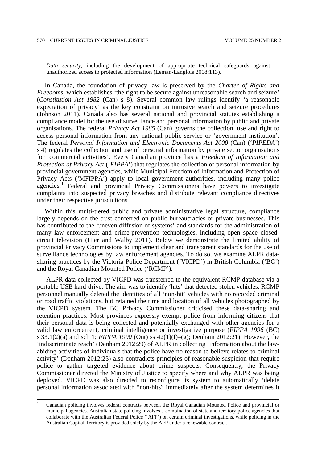*Data security,* including the development of appropriate technical safeguards against unauthorized access to protected information (Leman-Langlois 2008:113).

In Canada, the foundation of privacy law is preserved by the *Charter of Rights and Freedoms*, which establishes 'the right to be secure against unreasonable search and seizure' (*Constitution Act 1982* (Can) s 8). Several common law rulings identify 'a reasonable expectation of privacy' as the key constraint on intrusive search and seizure procedures (Johnson 2011). Canada also has several national and provincial statutes establishing a compliance model for the use of surveillance and personal information by public and private organisations. The federal *Privacy Act 1985* (Can) governs the collection, use and right to access personal information from any national public service or 'government institution'. The federal *Personal Information and Electronic Documents Act 2000* (Can) ('*PIPEDA*') s 4) regulates the collection and use of personal information by private sector organisations for 'commercial activities'. Every Canadian province has a *Freedom of Information and Protection of Privacy Act* ('*FIPPA*') that regulates the collection of personal information by provincial government agencies, while Municipal Freedom of Information and Protection of Privacy Acts ('MFIPPA') apply to local government authorities, including many police agencies.[1](#page-6-0) Federal and provincial Privacy Commissioners have powers to investigate complaints into suspected privacy breaches and distribute relevant compliance directives under their respective jurisdictions.

Within this multi-tiered public and private administrative legal structure, compliance largely depends on the trust conferred on public bureaucracies or private businesses. This has contributed to the 'uneven diffusion of systems' and standards for the administration of many law enforcement and crime-prevention technologies, including open space closedcircuit television (Hier and Walby 2011). Below we demonstrate the limited ability of provincial Privacy Commissions to implement clear and transparent standards for the use of surveillance technologies by law enforcement agencies. To do so, we examine ALPR datasharing practices by the Victoria Police Department ('VICPD') in British Columbia ('BC') and the Royal Canadian Mounted Police ('RCMP').

ALPR data collected by VICPD was transferred to the equivalent RCMP database via a portable USB hard-drive. The aim was to identify 'hits' that detected stolen vehicles. RCMP personnel manually deleted the identities of all 'non-hit' vehicles with no recorded criminal or road traffic violations, but retained the time and location of all vehicles photographed by the VICPD system. The BC Privacy Commissioner criticised these data-sharing and retention practices. Most provinces expressly exempt police from informing citizens that their personal data is being collected and potentially exchanged with other agencies for a valid law enforcement, criminal intelligence or investigative purpose (*FIPPA 1996* (BC) s 33.1(2)(a) and sch 1; *FIPPA 1990* (Ont) ss 42(1)(f)–(g); Denham 2012:21). However, the 'indiscriminate reach' (Denham 2012:29) of ALPR in collecting 'information about the lawabiding activities of individuals that the police have no reason to believe relates to criminal activity' (Denham 2012:23) also contradicts principles of reasonable suspicion that require police to gather targeted evidence about crime suspects. Consequently, the Privacy Commissioner directed the Ministry of Justice to specify where and why ALPR was being deployed. VICPD was also directed to reconfigure its system to automatically 'delete personal information associated with "non-hits" immediately after the system determines it

<span id="page-6-0"></span><sup>|&</sup>lt;br>|<br>| Canadian policing involves federal contracts between the Royal Canadian Mounted Police and provincial or municipal agencies. Australian state policing involves a combination of state and territory police agencies that collaborate with the Australian Federal Police ('AFP') on certain criminal investigations, while policing in the Australian Capital Territory is provided solely by the AFP under a renewable contract.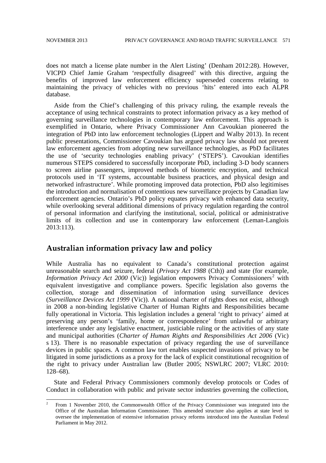does not match a license plate number in the Alert Listing' (Denham 2012:28). However, VICPD Chief Jamie Graham 'respectfully disagreed' with this directive, arguing the benefits of improved law enforcement efficiency superseded concerns relating to maintaining the privacy of vehicles with no previous 'hits' entered into each ALPR database.

Aside from the Chief's challenging of this privacy ruling, the example reveals the acceptance of using technical constraints to protect information privacy as a key method of governing surveillance technologies in contemporary law enforcement. This approach is exemplified in Ontario, where Privacy Commissioner Ann Cavoukian pioneered the integration of PbD into law enforcement technologies (Lippert and Walby 2013). In recent public presentations, Commissioner Cavoukian has argued privacy law should not prevent law enforcement agencies from adopting new surveillance technologies, as PbD facilitates the use of 'security technologies enabling privacy' ('STEPS'). Cavoukian identifies numerous STEPS considered to successfully incorporate PbD, including 3-D body scanners to screen airline passengers, improved methods of biometric encryption, and technical protocols used in 'IT systems, accountable business practices, and physical design and networked infrastructure'. While promoting improved data protection, PbD also legitimises the introduction and normalisation of contentious new surveillance projects by Canadian law enforcement agencies. Ontario's PbD policy equates privacy with enhanced data security, while overlooking several additional dimensions of privacy regulation regarding the control of personal information and clarifying the institutional, social, political or administrative limits of its collection and use in contemporary law enforcement (Leman-Langlois 2013:113).

### **Australian information privacy law and policy**

While Australia has no equivalent to Canada's constitutional protection against unreasonable search and seizure, federal (*Privacy Act 1988* (Cth)) and state (for example, *Information Privacy Act [2](#page-7-0)000* (Vic)) legislation empowers Privacy Commissioners<sup>2</sup> with equivalent investigative and compliance powers. Specific legislation also governs the collection, storage and dissemination of information using surveillance devices (*Surveillance Devices Act 1999* (Vic)). A national charter of rights does not exist, although in 2008 a non-binding legislative Charter of Human Rights and Responsibilities became fully operational in Victoria. This legislation includes a general 'right to privacy' aimed at preserving any person's 'family, home or correspondence' from unlawful or arbitrary interference under any legislative enactment, justiciable ruling or the activities of any state and municipal authorities (*Charter of Human Rights and Responsibilities Act 2006* (Vic) s 13). There is no reasonable expectation of privacy regarding the use of surveillance devices in public spaces. A common law tort enables suspected invasions of privacy to be litigated in some jurisdictions as a proxy for the lack of explicit constitutional recognition of the right to privacy under Australian law (Butler 2005; NSWLRC 2007; VLRC 2010: 128–68).

State and Federal Privacy Commissioners commonly develop protocols or Codes of Conduct in collaboration with public and private sector industries governing the collection,

<span id="page-7-0"></span> $\frac{1}{2}$  From 1 November 2010, the Commonwealth Office of the Privacy Commissioner was integrated into the Office of the Australian Information Commissioner. This amended structure also applies at state level to oversee the implementation of extensive information privacy reforms introduced into the Australian Federal Parliament in May 2012.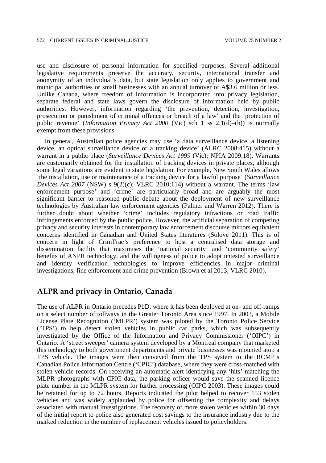use and disclosure of personal information for specified purposes. Several additional legislative requirements preserve the accuracy, security, international transfer and anonymity of an individual's data, but state legislation only applies to government and municipal authorities or small businesses with an annual turnover of A\$3.6 million or less. Unlike Canada, where freedom of information is incorporated into privacy legislation, separate federal and state laws govern the disclosure of information held by public authorities. However, information regarding 'the prevention, detection, investigation, prosecution or punishment of criminal offences or breach of a law' and the 'protection of public revenue' (*Information Privacy Act 2000* (Vic) sch 1 ss 2.1(d)–(h)) is normally exempt from these provisions.

In general, Australian police agencies may use 'a data surveillance device, a listening device, an optical surveillance device or a tracking device' (ALRC 2008:415) without a warrant in a public place (*Surveillance Devices Act 1999* (Vic); NPIA 2009:18). Warrants are customarily obtained for the installation of tracking devices in private places, although some legal variations are evident in state legislation. For example, New South Wales allows 'the installation, use or maintenance of a tracking device for a lawful purpose' (*Surveillance Devices Act 2007* (NSW) s 9(2)(c); VLRC 2010:114) without a warrant. The terms 'law enforcement purpose' and 'crime' are particularly broad and are arguably the most significant barrier to reasoned public debate about the deployment of new surveillance technologies by Australian law enforcement agencies (Palmer and Warren 2012). There is further doubt about whether 'crime' includes regulatory infractions or road traffic infringements enforced by the public police. However, the artificial separation of competing privacy and security interests in contemporary law enforcement discourse mirrors equivalent concerns identified in Canadian and United States literatures (Solove 2011). This is of concern in light of CrimTrac's preference to host a centralised data storage and dissemination facility that maximises the 'national security' and 'community safety' benefits of ANPR technology, and the willingness of police to adopt untested surveillance and identity verification technologies to improve efficiencies in major criminal investigations, fine enforcement and crime prevention (Brown et al 2013; VLRC 2010).

#### **ALPR and privacy in Ontario, Canada**

The use of ALPR in Ontario precedes PbD, where it has been deployed at on- and off-ramps on a select number of tollways in the Greater Toronto Area since 1997. In 2003, a Mobile License Plate Recognition ('MLPR') system was piloted by the Toronto Police Service ('TPS') to help detect stolen vehicles in public car parks, which was subsequently investigated by the Office of the Information and Privacy Commissioner ('OIPC') in Ontario. A 'street sweeper' camera system developed by a Montreal company that marketed this technology to both government departments and private businesses was mounted atop a TPS vehicle. The images were then conveyed from the TPS system to the RCMP's Canadian Police Information Centre ('CPIC') database, where they were cross-matched with stolen vehicle records. On receiving an automatic alert identifying any 'hits' matching the MLPR photographs with CPIC data, the parking officer would save the scanned licence plate number in the MLPR system for further processing (OIPC 2003). These images could be retained for up to 72 hours. Reports indicated the pilot helped to recover 153 stolen vehicles and was widely applauded by police for offsetting the complexity and delays associated with manual investigations. The recovery of more stolen vehicles within 30 days of the initial report to police also generated cost savings to the insurance industry due to the marked reduction in the number of replacement vehicles issued to policyholders.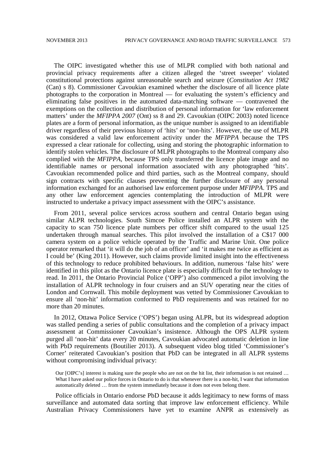The OIPC investigated whether this use of MLPR complied with both national and provincial privacy requirements after a citizen alleged the 'street sweeper' violated constitutional protections against unreasonable search and seizure (*Constitution Act 1982* (Can) s 8). Commissioner Cavoukian examined whether the disclosure of all licence plate photographs to the corporation in Montreal — for evaluating the system's efficiency and eliminating false positives in the automated data-matching software — contravened the exemptions on the collection and distribution of personal information for 'law enforcement matters' under the *MFIPPA 2007* (Ont) ss 8 and 29. Cavoukian (OIPC 2003) noted licence plates are a form of personal information, as the unique number is assigned to an identifiable driver regardless of their previous history of 'hits' or 'non-hits'. However, the use of MLPR was considered a valid law enforcement activity under the *MFIPPA* because the TPS expressed a clear rationale for collecting, using and storing the photographic information to identify stolen vehicles. The disclosure of MLPR photographs to the Montreal company also complied with the *MFIPPA*, because TPS only transferred the licence plate image and no identifiable names or personal information associated with any photographed 'hits'. Cavoukian recommended police and third parties, such as the Montreal company, should sign contracts with specific clauses preventing the further disclosure of any personal information exchanged for an authorised law enforcement purpose under *MFIPPA*. TPS and any other law enforcement agencies contemplating the introduction of MLPR were instructed to undertake a privacy impact assessment with the OIPC's assistance.

From 2011, several police services across southern and central Ontario began using similar ALPR technologies. South Simcoe Police installed an ALPR system with the capacity to scan 750 licence plate numbers per officer shift compared to the usual 125 undertaken through manual searches. This pilot involved the installation of a C\$17 000 camera system on a police vehicle operated by the Traffic and Marine Unit. One police operator remarked that 'it will do the job of an officer' and 'it makes me twice as efficient as I could be' (King 2011). However, such claims provide limited insight into the effectiveness of this technology to reduce prohibited behaviours. In addition, numerous 'false hits' were identified in this pilot as the Ontario licence plate is especially difficult for the technology to read. In 2011, the Ontario Provincial Police ('OPP') also commenced a pilot involving the installation of ALPR technology in four cruisers and an SUV operating near the cities of London and Cornwall. This mobile deployment was vetted by Commissioner Cavoukian to ensure all 'non-hit' information conformed to PbD requirements and was retained for no more than 20 minutes.

In 2012, Ottawa Police Service ('OPS') began using ALPR, but its widespread adoption was stalled pending a series of public consultations and the completion of a privacy impact assessment at Commissioner Cavoukian's insistence. Although the OPS ALPR system purged all 'non-hit' data every 20 minutes, Cavoukian advocated automatic deletion in line with PbD requirements (Boutilier 2013). A subsequent video blog titled 'Commissioner's Corner' reiterated Cavoukian's position that PbD can be integrated in all ALPR systems without compromising individual privacy:

Our [OIPC's] interest is making sure the people who are not on the hit list, their information is not retained ... What I have asked our police forces in Ontario to do is that whenever there is a non-hit, I want that information automatically deleted … from the system immediately because it does not even belong there.

Police officials in Ontario endorse PbD because it adds legitimacy to new forms of mass surveillance and automated data sorting that improve law enforcement efficiency. While Australian Privacy Commissioners have yet to examine ANPR as extensively as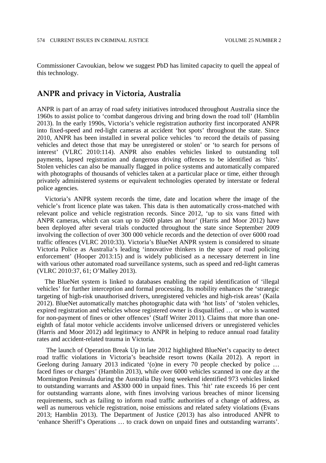Commissioner Cavoukian, below we suggest PbD has limited capacity to quell the appeal of this technology.

#### **ANPR and privacy in Victoria, Australia**

ANPR is part of an array of road safety initiatives introduced throughout Australia since the 1960s to assist police to 'combat dangerous driving and bring down the road toll' (Hamblin 2013). In the early 1990s, Victoria's vehicle registration authority first incorporated ANPR into fixed-speed and red-light cameras at accident 'hot spots' throughout the state. Since 2010, ANPR has been installed in several police vehicles 'to record the details of passing vehicles and detect those that may be unregistered or stolen' or 'to search for persons of interest' (VLRC 2010:114). ANPR also enables vehicles linked to outstanding toll payments, lapsed registration and dangerous driving offences to be identified as 'hits'. Stolen vehicles can also be manually flagged in police systems and automatically compared with photographs of thousands of vehicles taken at a particular place or time, either through privately administered systems or equivalent technologies operated by interstate or federal police agencies.

Victoria's ANPR system records the time, date and location where the image of the vehicle's front licence plate was taken. This data is then automatically cross-matched with relevant police and vehicle registration records. Since 2012, 'up to six vans fitted with ANPR cameras, which can scan up to 2600 plates an hour' (Harris and Moor 2012) have been deployed after several trials conducted throughout the state since September 2009 involving the collection of over 300 000 vehicle records and the detection of over 6000 road traffic offences (VLRC 2010:33). Victoria's BlueNet ANPR system is considered to situate Victoria Police as Australia's leading 'innovative thinkers in the space of road policing enforcement' (Hooper 2013:15) and is widely publicised as a necessary deterrent in line with various other automated road surveillance systems, such as speed and red-light cameras (VLRC 2010:37, 61; O'Malley 2013).

The BlueNet system is linked to databases enabling the rapid identification of 'illegal vehicles' for further interception and formal processing. Its mobility enhances the 'strategic targeting of high-risk unauthorised drivers, unregistered vehicles and high-risk areas' (Kaila 2012). BlueNet automatically matches photographic data with 'hot lists' of 'stolen vehicles, expired registration and vehicles whose registered owner is disqualified … or who is wanted for non-payment of fines or other offences' (Staff Writer 2011). Claims that more than oneeighth of fatal motor vehicle accidents involve unlicensed drivers or unregistered vehicles (Harris and Moor 2012) add legitimacy to ANPR in helping to reduce annual road fatality rates and accident-related trauma in Victoria.

The launch of Operation Break Up in late 2012 highlighted BlueNet's capacity to detect road traffic violations in Victoria's beachside resort towns (Kaila 2012). A report in Geelong during January 2013 indicated '(o)ne in every 70 people checked by police ... faced fines or charges' (Hamblin 2013), while over 6000 vehicles scanned in one day at the Mornington Peninsula during the Australia Day long weekend identified 973 vehicles linked to outstanding warrants and A\$300 000 in unpaid fines. This 'hit' rate exceeds 16 per cent for outstanding warrants alone, with fines involving various breaches of minor licensing requirements, such as failing to inform road traffic authorities of a change of address, as well as numerous vehicle registration, noise emissions and related safety violations (Evans 2013; Hamblin 2013). The Department of Justice (2013) has also introduced ANPR to 'enhance Sheriff's Operations … to crack down on unpaid fines and outstanding warrants'.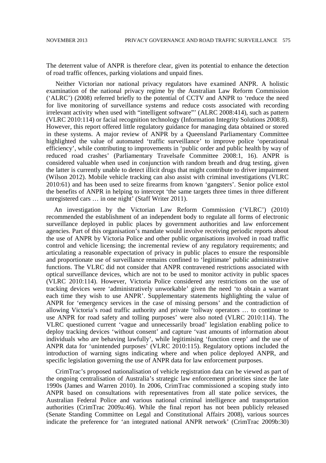The deterrent value of ANPR is therefore clear, given its potential to enhance the detection of road traffic offences, parking violations and unpaid fines.

Neither Victorian nor national privacy regulators have examined ANPR. A holistic examination of the national privacy regime by the Australian Law Reform Commission ('ALRC') (2008) referred briefly to the potential of CCTV and ANPR to 'reduce the need for live monitoring of surveillance systems and reduce costs associated with recording irrelevant activity when used with "intelligent software"' (ALRC 2008:414), such as pattern (VLRC 2010:114) or facial recognition technology (Information Integrity Solutions 2008:8). However, this report offered little regulatory guidance for managing data obtained or stored in these systems. A major review of ANPR by a Queensland Parliamentary Committee highlighted the value of automated 'traffic surveillance' to improve police 'operational efficiency', while contributing to improvements in 'public order and public health by way of reduced road crashes' (Parliamentary Travelsafe Committee 2008:1, 16). ANPR is considered valuable when used in conjunction with random breath and drug testing, given the latter is currently unable to detect illicit drugs that might contribute to driver impairment (Wilson 2012). Mobile vehicle tracking can also assist with criminal investigations (VLRC 2010:61) and has been used to seize firearms from known 'gangsters'. Senior police extol the benefits of ANPR in helping to intercept 'the same targets three times in three different unregistered cars … in one night' (Staff Writer 2011).

An investigation by the Victorian Law Reform Commission ('VLRC') (2010) recommended the establishment of an independent body to regulate all forms of electronic surveillance deployed in public places by government authorities and law enforcement agencies. Part of this organisation's mandate would involve receiving periodic reports about the use of ANPR by Victoria Police and other public organisations involved in road traffic control and vehicle licensing; the incremental review of any regulatory requirements; and articulating a reasonable expectation of privacy in public places to ensure the responsible and proportionate use of surveillance remains confined to 'legitimate' public administrative functions. The VLRC did not consider that ANPR contravened restrictions associated with optical surveillance devices, which are not to be used to monitor activity in public spaces (VLRC 2010:114). However, Victoria Police considered any restrictions on the use of tracking devices were 'administratively unworkable' given the need 'to obtain a warrant each time they wish to use ANPR'. Supplementary statements highlighting the value of ANPR for 'emergency services in the case of missing persons' and the contradiction of allowing Victoria's road traffic authority and private 'tollway operators … to continue to use ANPR for road safety and tolling purposes' were also noted (VLRC 2010:114). The VLRC questioned current 'vague and unnecessarily broad' legislation enabling police to deploy tracking devices 'without consent' and capture 'vast amounts of information about individuals who are behaving lawfully', while legitimising 'function creep' and the use of ANPR data for 'unintended purposes' (VLRC 2010:115). Regulatory options included the introduction of warning signs indicating where and when police deployed ANPR, and specific legislation governing the use of ANPR data for law enforcement purposes.

CrimTrac's proposed nationalisation of vehicle registration data can be viewed as part of the ongoing centralisation of Australia's strategic law enforcement priorities since the late 1990s (James and Warren 2010). In 2006, CrimTrac commissioned a scoping study into ANPR based on consultations with representatives from all state police services, the Australian Federal Police and various national criminal intelligence and transportation authorities (CrimTrac 2009a:46). While the final report has not been publicly released (Senate Standing Committee on Legal and Constitutional Affairs 2008), various sources indicate the preference for 'an integrated national ANPR network' (CrimTrac 2009b:30)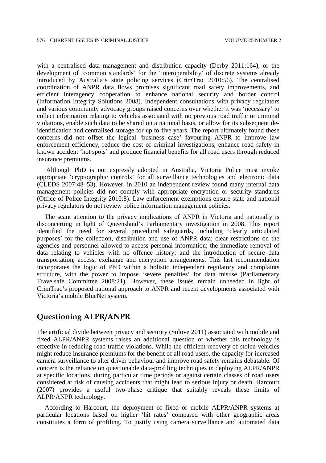with a centralised data management and distribution capacity (Derby 2011:164), or the development of 'common standards' for the 'interoperability' of discrete systems already introduced by Australia's state policing services (CrimTrac 2010:56). The centralised coordination of ANPR data flows promises significant road safety improvements, and efficient interagency cooperation to enhance national security and border control (Information Integrity Solutions 2008). Independent consultations with privacy regulators and various community advocacy groups raised concerns over whether it was 'necessary' to collect information relating to vehicles associated with no previous road traffic or criminal violations, enable such data to be shared on a national basis, or allow for its subsequent deidentification and centralised storage for up to five years. The report ultimately found these concerns did not offset the logical 'business case' favouring ANPR to improve law enforcement efficiency, reduce the cost of criminal investigations, enhance road safety in known accident 'hot spots' and produce financial benefits for all road users through reduced insurance premiums.

Although PbD is not expressly adopted in Australia, Victoria Police must invoke appropriate 'cryptographic controls' for all surveillance technologies and electronic data (CLEDS 2007:48–53). However, in 2010 an independent review found many internal data management policies did not comply with appropriate encryption or security standards (Office of Police Integrity 2010:8). Law enforcement exemptions ensure state and national privacy regulators do not review police information management policies.

The scant attention to the privacy implications of ANPR in Victoria and nationally is disconcerting in light of Queensland's Parliamentary investigation in 2008. This report identified the need for several procedural safeguards, including 'clearly articulated purposes' for the collection, distribution and use of ANPR data; clear restrictions on the agencies and personnel allowed to access personal information; the immediate removal of data relating to vehicles with no offence history; and the introduction of secure data transportation, access, exchange and encryption arrangements. This last recommendation incorporates the logic of PbD within a holistic independent regulatory and complaints structure, with the power to impose 'severe penalties' for data misuse (Parliamentary Travelsafe Committee 2008:21). However, these issues remain unheeded in light of CrimTrac's proposed national approach to ANPR and recent developments associated with Victoria's mobile BlueNet system.

#### **Questioning ALPR/ANPR**

The artificial divide between privacy and security (Solove 2011) associated with mobile and fixed ALPR/ANPR systems raises an additional question of whether this technology is effective in reducing road traffic violations. While the efficient recovery of stolen vehicles might reduce insurance premiums for the benefit of all road users, the capacity for increased camera surveillance to alter driver behaviour and improve road safety remains debatable. Of concern is the reliance on questionable data-profiling techniques in deploying ALPR/ANPR at specific locations, during particular time periods or against certain classes of road users considered at risk of causing accidents that might lead to serious injury or death. Harcourt (2007) provides a useful two-phase critique that suitably reveals these limits of ALPR/ANPR technology.

According to Harcourt, the deployment of fixed or mobile ALPR/ANPR systems at particular locations based on higher 'hit rates' compared with other geographic areas constitutes a form of profiling. To justify using camera surveillance and automated data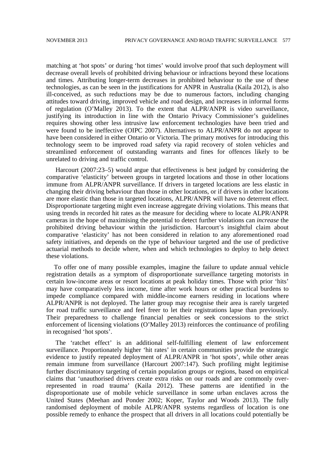matching at 'hot spots' or during 'hot times' would involve proof that such deployment will decrease overall levels of prohibited driving behaviour or infractions beyond these locations and times. Attributing longer-term decreases in prohibited behaviour to the use of these technologies, as can be seen in the justifications for ANPR in Australia (Kaila 2012), is also ill-conceived, as such reductions may be due to numerous factors, including changing attitudes toward driving, improved vehicle and road design, and increases in informal forms of regulation (O'Malley 2013). To the extent that ALPR/ANPR is video surveillance, justifying its introduction in line with the Ontario Privacy Commissioner's guidelines requires showing other less intrusive law enforcement technologies have been tried and were found to be ineffective (OIPC 2007). Alternatives to ALPR/ANPR do not appear to have been considered in either Ontario or Victoria. The primary motives for introducing this technology seem to be improved road safety via rapid recovery of stolen vehicles and streamlined enforcement of outstanding warrants and fines for offences likely to be unrelated to driving and traffic control.

Harcourt (2007:23–5) would argue that effectiveness is best judged by considering the comparative 'elasticity' between groups in targeted locations and those in other locations immune from ALPR/ANPR surveillance. If drivers in targeted locations are less elastic in changing their driving behaviour than those in other locations, or if drivers in other locations are more elastic than those in targeted locations, ALPR/ANPR will have no deterrent effect. Disproportionate targeting might even increase aggregate driving violations. This means that using trends in recorded hit rates as the measure for deciding where to locate ALPR/ANPR cameras in the hope of maximising the potential to detect further violations can *increase* the prohibited driving behaviour within the jurisdiction. Harcourt's insightful claim about comparative 'elasticity' has not been considered in relation to any aforementioned road safety initiatives, and depends on the type of behaviour targeted and the use of predictive actuarial methods to decide where, when and which technologies to deploy to help detect these violations.

To offer one of many possible examples, imagine the failure to update annual vehicle registration details as a symptom of disproportionate surveillance targeting motorists in certain low-income areas or resort locations at peak holiday times. Those with prior 'hits' may have comparatively less income, time after work hours or other practical burdens to impede compliance compared with middle-income earners residing in locations where ALPR/ANPR is not deployed. The latter group may recognise their area is rarely targeted for road traffic surveillance and feel freer to let their registrations lapse than previously. Their preparedness to challenge financial penalties or seek concessions to the strict enforcement of licensing violations (O'Malley 2013) reinforces the continuance of profiling in recognised 'hot spots'.

The 'ratchet effect' is an additional self-fulfilling element of law enforcement surveillance. Proportionately higher 'hit rates' in certain communities provide the strategic evidence to justify repeated deployment of ALPR/ANPR in 'hot spots', while other areas remain immune from surveillance (Harcourt 2007:147). Such profiling might legitimise further discriminatory targeting of certain population groups or regions, based on empirical claims that 'unauthorised drivers create extra risks on our roads and are commonly overrepresented in road trauma' (Kaila 2012). These patterns are identified in the disproportionate use of mobile vehicle surveillance in some urban enclaves across the United States (Meehan and Ponder 2002; Koper, Taylor and Woods 2013). The fully randomised deployment of mobile ALPR/ANPR systems regardless of location is one possible remedy to enhance the prospect that all drivers in all locations could potentially be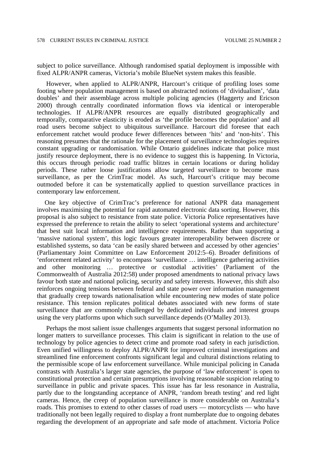subject to police surveillance. Although randomised spatial deployment is impossible with fixed ALPR/ANPR cameras, Victoria's mobile BlueNet system makes this feasible.

However, when applied to ALPR/ANPR, Harcourt's critique of profiling loses some footing where population management is based on abstracted notions of 'dividualism', 'data doubles' and their assemblage across multiple policing agencies (Haggerty and Ericson 2000) through centrally coordinated information flows via identical or interoperable technologies. If ALPR/ANPR resources are equally distributed geographically and temporally, comparative elasticity is eroded as 'the profile becomes the population' and all road users become subject to ubiquitous surveillance. Harcourt did foresee that each enforcement ratchet would produce fewer differences between 'hits' and 'non-hits'. This reasoning presumes that the rationale for the placement of surveillance technologies requires constant upgrading or randomisation. While Ontario guidelines indicate that police must justify resource deployment, there is no evidence to suggest this is happening. In Victoria, this occurs through periodic road traffic blitzes in certain locations or during holiday periods. These rather loose justifications allow targeted surveillance to become mass surveillance, as per the CrimTrac model. As such, Harcourt's critique may become outmoded before it can be systematically applied to question surveillance practices in contemporary law enforcement.

One key objective of CrimTrac's preference for national ANPR data management involves maximising the potential for rapid automated electronic data sorting. However, this proposal is also subject to resistance from state police. Victoria Police representatives have expressed the preference to retain the ability to select 'operational systems and architecture' that best suit local information and intelligence requirements. Rather than supporting a 'massive national system', this logic favours greater interoperability between discrete or established systems, so data 'can be easily shared between and accessed by other agencies' (Parliamentary Joint Committee on Law Enforcement 2012:5–6). Broader definitions of 'enforcement related activity' to encompass 'surveillance … intelligence gathering activities and other monitoring … protective or custodial activities' (Parliament of the Commonwealth of Australia 2012:58) under proposed amendments to national privacy laws favour both state and national policing, security and safety interests. However, this shift also reinforces ongoing tensions between federal and state power over information management that gradually creep towards nationalisation while encountering new modes of state police resistance. This tension replicates political debates associated with new forms of state surveillance that are commonly challenged by dedicated individuals and interest groups using the very platforms upon which such surveillance depends (O'Malley 2013).

Perhaps the most salient issue challenges arguments that suggest personal information no longer matters to surveillance processes. This claim is significant in relation to the use of technology by police agencies to detect crime and promote road safety in each jurisdiction. Even unified willingness to deploy ALPR/ANPR for improved criminal investigations and streamlined fine enforcement confronts significant legal and cultural distinctions relating to the permissible scope of law enforcement surveillance. While municipal policing in Canada contrasts with Australia's larger state agencies, the purpose of 'law enforcement' is open to constitutional protection and certain presumptions involving reasonable suspicion relating to surveillance in public and private spaces. This issue has far less resonance in Australia, partly due to the longstanding acceptance of ANPR, 'random breath testing' and red light cameras. Hence, the creep of population surveillance is more considerable on Australia's roads. This promises to extend to other classes of road users — motorcyclists — who have traditionally not been legally required to display a front numberplate due to ongoing debates regarding the development of an appropriate and safe mode of attachment. Victoria Police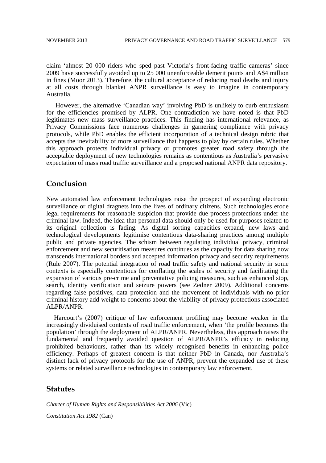claim 'almost 20 000 riders who sped past Victoria's front-facing traffic cameras' since 2009 have successfully avoided up to 25 000 unenforceable demerit points and A\$4 million in fines (Moor 2013). Therefore, the cultural acceptance of reducing road deaths and injury at all costs through blanket ANPR surveillance is easy to imagine in contemporary Australia.

However, the alternative 'Canadian way' involving PbD is unlikely to curb enthusiasm for the efficiencies promised by ALPR. One contradiction we have noted is that PbD legitimates new mass surveillance practices. This finding has international relevance, as Privacy Commissions face numerous challenges in garnering compliance with privacy protocols, while PbD enables the efficient incorporation of a technical design rubric that accepts the inevitability of more surveillance that happens to play by certain rules. Whether this approach protects individual privacy or promotes greater road safety through the acceptable deployment of new technologies remains as contentious as Australia's pervasive expectation of mass road traffic surveillance and a proposed national ANPR data repository.

#### **Conclusion**

New automated law enforcement technologies raise the prospect of expanding electronic surveillance or digital dragnets into the lives of ordinary citizens. Such technologies erode legal requirements for reasonable suspicion that provide due process protections under the criminal law. Indeed, the idea that personal data should only be used for purposes related to its original collection is fading. As digital sorting capacities expand, new laws and technological developments legitimise contentious data-sharing practices among multiple public and private agencies. The schism between regulating individual privacy, criminal enforcement and new securitisation measures continues as the capacity for data sharing now transcends international borders and accepted information privacy and security requirements (Rule 2007). The potential integration of road traffic safety and national security in some contexts is especially contentious for conflating the scales of security and facilitating the expansion of various pre-crime and preventative policing measures, such as enhanced stop, search, identity verification and seizure powers (see Zedner 2009). Additional concerns regarding false positives, data protection and the movement of individuals with no prior criminal history add weight to concerns about the viability of privacy protections associated ALPR/ANPR.

Harcourt's (2007) critique of law enforcement profiling may become weaker in the increasingly dividuised contexts of road traffic enforcement, when 'the profile becomes the population' through the deployment of ALPR/ANPR. Nevertheless, this approach raises the fundamental and frequently avoided question of ALPR/ANPR's efficacy in reducing prohibited behaviours, rather than its widely recognised benefits in enhancing police efficiency. Perhaps of greatest concern is that neither PbD in Canada, nor Australia's distinct lack of privacy protocols for the use of ANPR, prevent the expanded use of these systems or related surveillance technologies in contemporary law enforcement.

#### **Statutes**

*Charter of Human Rights and Responsibilities Act 2006* (Vic)

*Constitution Act 1982* (Can)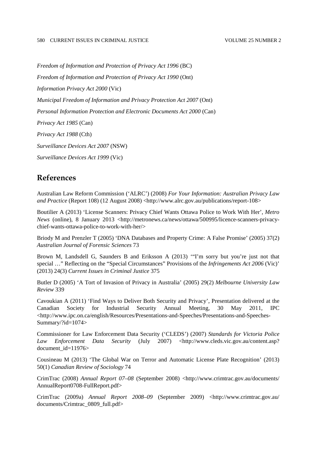*Freedom of Information and Protection of Privacy Act 1996* (BC) *Freedom of Information and Protection of Privacy Act 1990* (Ont) *Information Privacy Act 2000* (Vic) *Municipal Freedom of Information and Privacy Protection Act 2007* (Ont) *Personal Information Protection and Electronic Documents Act 2000* (Can) *Privacy Act 1985* (Can) *Privacy Act 1988* (Cth) *Surveillance Devices Act 2007* (NSW) *Surveillance Devices Act 1999* (Vic)

## **References**

Australian Law Reform Commission ('ALRC') (2008) *For Your Information: Australian Privacy Law and Practice* (Report 108) (12 August 2008) <http://www.alrc.gov.au/publications/report-108>

Boutilier A (2013) 'License Scanners: Privacy Chief Wants Ottawa Police to Work With Her', *Metro News* (online), 8 January 2013 <http://metronews.ca/news/ottawa/500995/licence-scanners-privacychief-wants-ottawa-police-to-work-with-her/>

Briody M and Prenzler T (2005) 'DNA Databases and Property Crime: A False Promise' (2005) 37(2) *Australian Journal of Forensic Sciences* 73

Brown M, Landsdell G, Saunders B and Eriksson A (2013) '"I'm sorry but you're just not that special …" Reflecting on the "Special Circumstances" Provisions of the *Infringements Act 2006* (Vic)' (2013) 24(3) *Current Issues in Criminal Justice* 375

Butler D (2005) 'A Tort of Invasion of Privacy in Australia' (2005) 29(2) *Melbourne University Law Review* 339

Cavoukian A (2011) 'Find Ways to Deliver Both Security and Privacy', Presentation delivered at the Canadian Society for Industrial Security Annual Meeting, 30 May 2011, IPC  $\langle$ http://www.ipc.on.ca/english/Resources/Presentations-and-Speeches/Presentations-and-Speeches-Summary/?id=1074>

Commissioner for Law Enforcement Data Security ('CLEDS') (2007) *Standards for Victoria Police Law Enforcement Data Security* (July 2007) <http://www.cleds.vic.gov.au/content.asp? document\_id=11976>

Cousineau M (2013) 'The Global War on Terror and Automatic License Plate Recognition' (2013) 50(1) *Canadian Review of Sociology* 74

CrimTrac (2008) *Annual Report 07–08* (September 2008) <http://www.crimtrac.gov.au/documents/ AnnualReport0708-FullReport.pdf>

CrimTrac (2009a) *Annual Report 2008–09* (September 2009) <http://www.crimtrac.gov.au/ documents/Crimtrac\_0809\_full.pdf>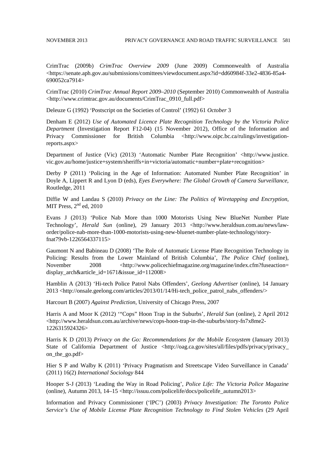CrimTrac (2009b) *CrimTrac Overview 2009* (June 2009) Commonwealth of Australia <https://senate.aph.gov.au/submissions/comittees/viewdocument.aspx?id=dd60984f-33e2-4836-85a4- 690052ca7914>

CrimTrac (2010) *CrimTrac Annual Report 2009–2010* (September 2010) Commonwealth of Australia <http://www.crimtrac.gov.au/documents/CrimTrac\_0910\_full.pdf>

Deleuze G (1992) 'Postscript on the Societies of Control' (1992) 61 *October* 3

Denham E (2012) *Use of Automated Licence Plate Recognition Technology by the Victoria Police Department* (Investigation Report F12-04) (15 November 2012), Office of the Information and Privacy Commissioner for British Columbia <http://www.oipc.bc.ca/rulings/investigationreports.aspx>

Department of Justice (Vic) (2013) 'Automatic Number Plate Recognition' <http://www.justice. vic.gov.au/home/justice+system/sheriffs+in+victoria/automatic+number+plate+recognition>

Derby P (2011) 'Policing in the Age of Information: Automated Number Plate Recognition' in Doyle A, Lippert R and Lyon D (eds), *Eyes Everywhere: The Global Growth of Camera Surveillance,*  Routledge, 2011

Diffie W and Landau S (2010) *Privacy on the Line: The Politics of Wiretapping and Encryption,*  MIT Press,  $2<sup>nd</sup>$  ed, 2010

Evans J (2013) 'Police Nab More than 1000 Motorists Using New BlueNet Number Plate Technology', *Herald Sun* (online), 29 January 2013 <http://www.heraldsun.com.au/news/laworder/police-nab-more-than-1000-motorists-using-new-bluenet-number-plate-technology/storyfnat79vb-1226564337115>

Gaumont N and Babineau D (2008) 'The Role of Automatic License Plate Recognition Technology in Policing: Results from the Lower Mainland of British Columbia', *The Police Chief* (online), November 2008 <http://www.policechiefmagazine.org/magazine/index.cfm?fuseaction= display\_arch&article\_id=1671&issue\_id=112008>

Hamblin A (2013) 'Hi-tech Police Patrol Nabs Offenders', *Geelong Advertiser* (online), 14 January 2013 <http://onsale.geelong.com/articles/2013/01/14/Hi-tech\_police\_patrol\_nabs\_offenders/>

Harcourt B (2007) *Against Prediction*, University of Chicago Press, 2007

Harris A and Moor K (2012) '"Cops" Hoon Trap in the Suburbs', *Herald Sun* (online), 2 April 2012 <http://www.heraldsun.com.au/archive/news/cops-hoon-trap-in-the-suburbs/story-fn7x8me2- 1226315924326>

Harris K D (2013) *Privacy on the Go: Recommendations for the Mobile Ecosystem* (January 2013) State of California Department of Justice <http://oag.ca.gov/sites/all/files/pdfs/privacy/privacy\_ on\_the\_go.pdf>

Hier S P and Walby K (2011) 'Privacy Pragmatism and Streetscape Video Surveillance in Canada' (2011) 16(2) *International Sociology* 844

Hooper S-J (2013) 'Leading the Way in Road Policing', *Police Life: The Victoria Police Magazine* (online), Autumn 2013, 14–15 <http://issuu.com/policelife/docs/policelife\_autumn2013>

Information and Privacy Commissioner ('IPC') (2003) *Privacy Investigation: The Toronto Police Service's Use of Mobile License Plate Recognition Technology to Find Stolen Vehicles* (29 April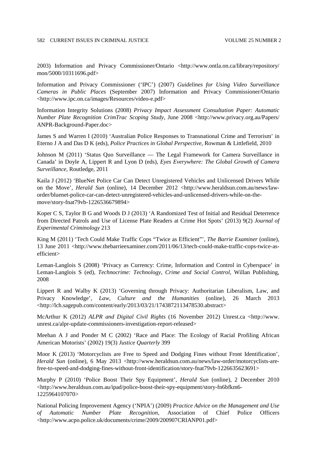2003) Information and Privacy Commissioner/Ontario <http://www.ontla.on.ca/library/repository/ mon/5000/10311696.pdf>

Information and Privacy Commissioner ('IPC') (2007) *Guidelines for Using Video Surveillance Cameras in Public Places* (September 2007) Information and Privacy Commissioner/Ontario <http://www.ipc.on.ca/images/Resources/video-e.pdf>

Information Integrity Solutions (2008) *Privacy Impact Assessment Consultation Paper: Automatic Number Plate Recognition CrimTrac Scoping Study*, June 2008 <http://www.privacy.org.au/Papers/ ANPR-Background-Paper.doc>

James S and Warren I (2010) 'Australian Police Responses to Transnational Crime and Terrorism' in Eterno J A and Das D K (eds), *Police Practices in Global Perspective*, Rowman & Littlefield, 2010

Johnson M (2011) 'Status Quo Surveillance — The Legal Framework for Camera Surveillance in Canada' in Doyle A, Lippert R and Lyon D (eds), *Eyes Everywhere: The Global Growth of Camera Surveillance,* Routledge, 2011

Kaila J (2012) 'BlueNet Police Car Can Detect Unregistered Vehicles and Unlicensed Drivers While on the Move', *Herald Sun* (online), 14 December 2012 <http://www.heraldsun.com.au/news/laworder/bluenet-police-car-can-detect-unregistered-vehicles-and-unlicensed-drivers-while-on-themove/story-fnat79vb-1226536679894>

Koper C S, Taylor B G and Woods D J (2013) 'A Randomized Test of Initial and Residual Deterrence from Directed Patrols and Use of License Plate Readers at Crime Hot Spots' (2013) 9(2) *Journal of Experimental Criminology* 213

King M (2011) 'Tech Could Make Traffic Cops "Twice as Efficient"', *The Barrie Examiner* (online), 13 June 2011 <http://www.thebarrieexaminer.com/2011/06/13/tech-could-make-traffic-cops-twice-asefficient>

Leman-Langlois S (2008) 'Privacy as Currency: Crime, Information and Control in Cyberspace' in Leman-Langlois S (ed), *Technocrime: Technology, Crime and Social Control*, Willan Publishing, 2008

Lippert R and Walby K (2013) 'Governing through Privacy: Authoritarian Liberalism, Law, and Privacy Knowledge', *Law, Culture and the Humanities* (online), 26 March 2013 <http://lch.sagepub.com/content/early/2013/03/21/1743872113478530.abstract>

McArthur K (2012) *ALPR and Digital Civil Rights* (16 November 2012) Unrest.ca <http://www. unrest.ca/alpr-update-commissioners-investigation-report-released>

Meehan A J and Ponder M C (2002) 'Race and Place: The Ecology of Racial Profiling African American Motorists' (2002) 19(3) *Justice Quarterly* 399

Moor K (2013) 'Motorcyclists are Free to Speed and Dodging Fines without Front Identification', *Herald Sun* (online), 6 May 2013 <http://www.heraldsun.com.au/news/law-order/motorcyclists-arefree-to-speed-and-dodging-fines-without-front-identification/story-fnat79vb-1226635623691>

Murphy P (2010) 'Police Boost Their Spy Equipment', *Herald Sun* (online), 2 December 2010 <http://www.heraldsun.com.au/ipad/police-boost-their-spy-equipment/story-fn6bfkm6- 1225964107070>

National Policing Improvement Agency ('NPIA') (2009) *Practice Advice on the Management and Use of Automatic Number Plate Recognition*, Association of Chief Police Officers <http://www.acpo.police.uk/documents/crime/2009/200907CRIANP01.pdf>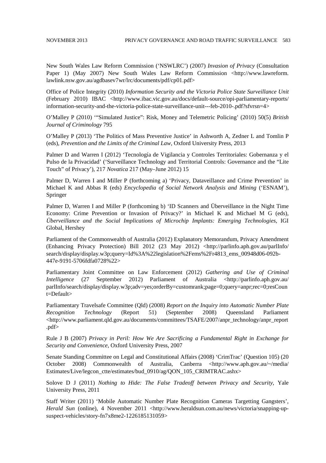New South Wales Law Reform Commission ('NSWLRC') (2007) *Invasion of Privacy* (Consultation Paper 1) (May 2007) New South Wales Law Reform Commission <http://www.lawreform. lawlink.nsw.gov.au/agdbasev7wr/lrc/documents/pdf/cp01.pdf>

Office of Police Integrity (2010) *Information Security and the Victoria Police State Surveillance Unit* (February 2010) IBAC <http://www.ibac.vic.gov.au/docs/default-source/opi-parliamentary-reports/ information-security-and-the-victoria-police-state-surveillance-unit---feb-2010-.pdf?sfvrsn=4>

O'Malley P (2010) '"Simulated Justice": Risk, Money and Telemetric Policing' (2010) 50(5) *British Journal of Criminology* 795

O'Malley P (2013) 'The Politics of Mass Preventive Justice' in Ashworth A, Zedner L and Tomlin P (eds), *Prevention and the Limits of the Criminal Law*, Oxford University Press, 2013

Palmer D and Warren I (2012) 'Tecnología de Vigilancia y Controles Territoriales: Gobernanza y el Pulso de la Privacidad' ('Surveillance Technology and Territorial Controls: Governance and the "Lite Touch" of Privacy'), 217 *Novatica* 217 (May–June 2012) 15

Palmer D, Warren I and Miller P (forthcoming a) 'Privacy, Dataveillance and Crime Prevention' in Michael K and Abbas R (eds) *Encyclopedia of Social Network Analysis and Mining* ('ESNAM'), Springer

Palmer D, Warren I and Miller P (forthcoming b) 'ID Scanners and Überveillance in the Night Time Economy: Crime Prevention or Invasion of Privacy?' in Michael K and Michael M G (eds), *Überveillance and the Social Implications of Microchip Implants: Emerging Technologies*, IGI Global, Hershey

Parliament of the Commonwealth of Australia (2012) Explanatory Memorandum, Privacy Amendment (Enhancing Privacy Protection) Bill 2012 (23 May 2012) <http://parlinfo.aph.gov.au/parlInfo/ search/display/display.w3p;query=Id%3A%22legislation%2Fems%2Fr4813\_ems\_00948d06-092b-447e-9191-5706fdfa0728%22>

Parliamentary Joint Committee on Law Enforcement (2012) *Gathering and Use of Criminal Intelligence* (27 September 2012) Parliament of Australia <http://parlinfo.aph.gov.au/ parlInfo/search/display/display.w3p;adv=yes;orderBy=customrank;page=0;query=anpr;rec=0;resCoun t=Default>

Parliamentary Travelsafe Committee (Qld) (2008) *Report on the Inquiry into Automatic Number Plate Recognition Technology* (Report 51) (September 2008) Queensland Parliament <http://www.parliament.qld.gov.au/documents/committees/TSAFE/2007/anpr\_technology/anpr\_report .pdf>

Rule J B (2007) *Privacy in Peril: How We Are Sacrificing a Fundamental Right in Exchange for Security and Convenience*, Oxford University Press, 2007

Senate Standing Committee on Legal and Constitutional Affairs (2008) 'CrimTrac' (Question 105) (20 October 2008) Commonwealth of Australia, Canberra <http://www.aph.gov.au/~/media/ Estimates/Live/legcon\_ctte/estimates/bud\_0910/ag/QON\_105\_CRIMTRAC.ashx>

Solove D J (2011) *Nothing to Hide: The False Tradeoff between Privacy and Security*, Yale University Press, 2011

Staff Writer (2011) 'Mobile Automatic Number Plate Recognition Cameras Targetting Gangsters', *Herald Sun* (online), 4 November 2011 <http://www.heraldsun.com.au/news/victoria/snapping-upsuspect-vehicles/story-fn7x8me2-1226185131059>